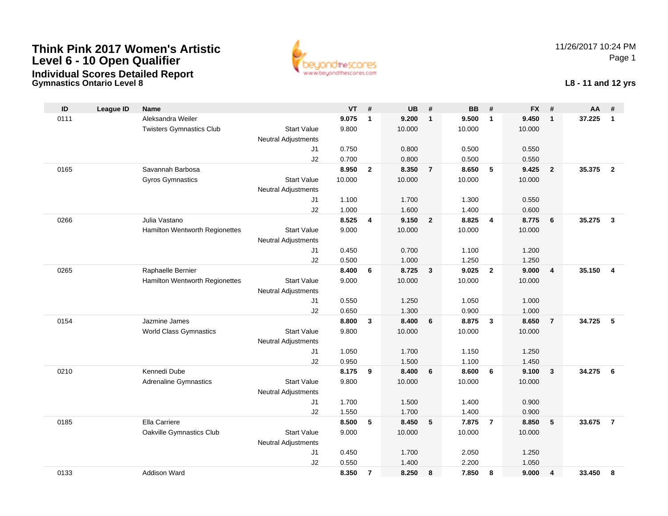**Gymnastics Ontario Level 8**



11/26/2017 10:24 PMPage 1

#### **L8 - 11 and 12 yrs**

| ID   | League ID | <b>Name</b>                     |                            | <b>VT</b> | #              | <b>UB</b> | #              | <b>BB</b> | #                       | <b>FX</b> | #                       | AA     | #              |
|------|-----------|---------------------------------|----------------------------|-----------|----------------|-----------|----------------|-----------|-------------------------|-----------|-------------------------|--------|----------------|
| 0111 |           | Aleksandra Weiler               |                            | 9.075     | $\mathbf{1}$   | 9.200     | $\mathbf{1}$   | 9.500     | $\overline{1}$          | 9.450     | $\mathbf{1}$            | 37.225 | $\mathbf{1}$   |
|      |           | <b>Twisters Gymnastics Club</b> | <b>Start Value</b>         | 9.800     |                | 10.000    |                | 10.000    |                         | 10.000    |                         |        |                |
|      |           |                                 | <b>Neutral Adjustments</b> |           |                |           |                |           |                         |           |                         |        |                |
|      |           |                                 | J1                         | 0.750     |                | 0.800     |                | 0.500     |                         | 0.550     |                         |        |                |
|      |           |                                 | J2                         | 0.700     |                | 0.800     |                | 0.500     |                         | 0.550     |                         |        |                |
| 0165 |           | Savannah Barbosa                |                            | 8.950     | $\overline{2}$ | 8.350     | $\overline{7}$ | 8.650     | 5                       | 9.425     | $\overline{2}$          | 35.375 | $\overline{2}$ |
|      |           | <b>Gyros Gymnastics</b>         | <b>Start Value</b>         | 10.000    |                | 10.000    |                | 10.000    |                         | 10.000    |                         |        |                |
|      |           |                                 | <b>Neutral Adjustments</b> |           |                |           |                |           |                         |           |                         |        |                |
|      |           |                                 | J1                         | 1.100     |                | 1.700     |                | 1.300     |                         | 0.550     |                         |        |                |
|      |           |                                 | J2                         | 1.000     |                | 1.600     |                | 1.400     |                         | 0.600     |                         |        |                |
| 0266 |           | Julia Vastano                   |                            | 8.525     | 4              | 9.150     | $\overline{2}$ | 8.825     | $\overline{\mathbf{4}}$ | 8.775     | 6                       | 35.275 | 3              |
|      |           | Hamilton Wentworth Regionettes  | <b>Start Value</b>         | 9.000     |                | 10.000    |                | 10.000    |                         | 10.000    |                         |        |                |
|      |           |                                 | <b>Neutral Adjustments</b> |           |                |           |                |           |                         |           |                         |        |                |
|      |           |                                 | J1                         | 0.450     |                | 0.700     |                | 1.100     |                         | 1.200     |                         |        |                |
|      |           |                                 | J2                         | 0.500     |                | 1.000     |                | 1.250     |                         | 1.250     |                         |        |                |
| 0265 |           | Raphaelle Bernier               |                            | 8.400     | 6              | 8.725     | $\mathbf{3}$   | 9.025     | $\overline{2}$          | 9.000     | $\overline{4}$          | 35.150 | 4              |
|      |           | Hamilton Wentworth Regionettes  | <b>Start Value</b>         | 9.000     |                | 10.000    |                | 10.000    |                         | 10.000    |                         |        |                |
|      |           |                                 | <b>Neutral Adjustments</b> |           |                |           |                |           |                         |           |                         |        |                |
|      |           |                                 | J1                         | 0.550     |                | 1.250     |                | 1.050     |                         | 1.000     |                         |        |                |
|      |           |                                 | J2                         | 0.650     |                | 1.300     |                | 0.900     |                         | 1.000     |                         |        |                |
| 0154 |           | Jazmine James                   |                            | 8.800     | $\mathbf{3}$   | 8.400     | 6              | 8.875     | $\mathbf{3}$            | 8.650     | $\overline{7}$          | 34.725 | 5              |
|      |           | <b>World Class Gymnastics</b>   | <b>Start Value</b>         | 9.800     |                | 10.000    |                | 10.000    |                         | 10.000    |                         |        |                |
|      |           |                                 | <b>Neutral Adjustments</b> |           |                |           |                |           |                         |           |                         |        |                |
|      |           |                                 | J <sub>1</sub>             | 1.050     |                | 1.700     |                | 1.150     |                         | 1.250     |                         |        |                |
|      |           |                                 | J2                         | 0.950     |                | 1.500     |                | 1.100     |                         | 1.450     |                         |        |                |
| 0210 |           | Kennedi Dube                    |                            | 8.175     | 9              | 8.400     | 6              | 8.600     | 6                       | 9.100     | $\overline{\mathbf{3}}$ | 34.275 | 6              |
|      |           | <b>Adrenaline Gymnastics</b>    | <b>Start Value</b>         | 9.800     |                | 10.000    |                | 10.000    |                         | 10.000    |                         |        |                |
|      |           |                                 | <b>Neutral Adjustments</b> |           |                |           |                |           |                         |           |                         |        |                |
|      |           |                                 | J1                         | 1.700     |                | 1.500     |                | 1.400     |                         | 0.900     |                         |        |                |
|      |           |                                 | J2                         | 1.550     |                | 1.700     |                | 1.400     |                         | 0.900     |                         |        |                |
| 0185 |           | Ella Carriere                   |                            | 8.500     | 5              | 8.450     | 5              | 7.875     | $\overline{7}$          | 8.850     | 5                       | 33.675 | $\overline{7}$ |
|      |           | Oakville Gymnastics Club        | <b>Start Value</b>         | 9.000     |                | 10.000    |                | 10.000    |                         | 10.000    |                         |        |                |
|      |           |                                 | <b>Neutral Adjustments</b> |           |                |           |                |           |                         |           |                         |        |                |
|      |           |                                 | J1                         | 0.450     |                | 1.700     |                | 2.050     |                         | 1.250     |                         |        |                |
|      |           |                                 | J2                         | 0.550     |                | 1.400     |                | 2.200     |                         | 1.050     |                         |        |                |
| 0133 |           | Addison Ward                    |                            | 8.350     | $\overline{7}$ | 8.250     | 8              | 7.850     | 8                       | 9.000     | 4                       | 33.450 | 8              |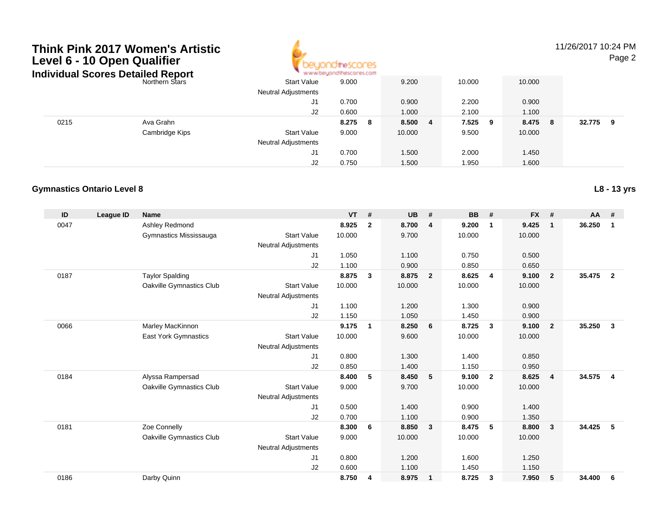

### 11/26/2017 10:24 PM

Page 2

|      | Individual Scores Detailed Report | * www.beyondthescores.com  |             |             |            |              |             |
|------|-----------------------------------|----------------------------|-------------|-------------|------------|--------------|-------------|
|      | Northern Stars                    | Start Value                | 9.000       | 9.200       | 10.000     | 10.000       |             |
|      |                                   | <b>Neutral Adjustments</b> |             |             |            |              |             |
|      |                                   | J1                         | 0.700       | 0.900       | 2.200      | 0.900        |             |
|      |                                   | J2                         | 0.600       | 1.000       | 2.100      | 1.100        |             |
| 0215 | Ava Grahn                         |                            | 8.275<br>-8 | 8.500<br>-4 | 7.525<br>9 | 8.475<br>- 8 | 32.775<br>9 |
|      | Cambridge Kips                    | <b>Start Value</b>         | 9.000       | 10.000      | 9.500      | 10.000       |             |
|      |                                   | <b>Neutral Adjustments</b> |             |             |            |              |             |
|      |                                   | J1                         | 0.700       | 1.500       | 2.000      | 1.450        |             |
|      |                                   | J2                         | 0.750       | 1.500       | 1.950      | 1.600        |             |

#### **Gymnastics Ontario Level 8**

| ID   | <b>League ID</b> | <b>Name</b>                 |                            | <b>VT</b> | #            | <b>UB</b> | #                       | <b>BB</b> | #                       | <b>FX</b> | #              | <b>AA</b> | #                       |
|------|------------------|-----------------------------|----------------------------|-----------|--------------|-----------|-------------------------|-----------|-------------------------|-----------|----------------|-----------|-------------------------|
| 0047 |                  | Ashley Redmond              |                            | 8.925     | $\mathbf{2}$ | 8.700     | $\overline{4}$          | 9.200     | $\mathbf 1$             | 9.425     | $\mathbf{1}$   | 36.250    | $\mathbf 1$             |
|      |                  | Gymnastics Mississauga      | <b>Start Value</b>         | 10.000    |              | 9.700     |                         | 10.000    |                         | 10.000    |                |           |                         |
|      |                  |                             | <b>Neutral Adjustments</b> |           |              |           |                         |           |                         |           |                |           |                         |
|      |                  |                             | J1                         | 1.050     |              | 1.100     |                         | 0.750     |                         | 0.500     |                |           |                         |
|      |                  |                             | J2                         | 1.100     |              | 0.900     |                         | 0.850     |                         | 0.650     |                |           |                         |
| 0187 |                  | <b>Taylor Spalding</b>      |                            | 8.875     | $\mathbf{3}$ | 8.875     | $\overline{\mathbf{2}}$ | 8.625     | $\overline{4}$          | 9.100     | $\overline{2}$ | 35.475    | $\overline{2}$          |
|      |                  | Oakville Gymnastics Club    | <b>Start Value</b>         | 10.000    |              | 10.000    |                         | 10.000    |                         | 10.000    |                |           |                         |
|      |                  |                             | <b>Neutral Adjustments</b> |           |              |           |                         |           |                         |           |                |           |                         |
|      |                  |                             | J1                         | 1.100     |              | 1.200     |                         | 1.300     |                         | 0.900     |                |           |                         |
|      |                  |                             | J2                         | 1.150     |              | 1.050     |                         | 1.450     |                         | 0.900     |                |           |                         |
| 0066 |                  | Marley MacKinnon            |                            | 9.175     | $\mathbf{1}$ | 8.250     | 6                       | 8.725     | 3                       | 9.100     | $\overline{2}$ | 35.250    | $\overline{\mathbf{3}}$ |
|      |                  | <b>East York Gymnastics</b> | <b>Start Value</b>         | 10.000    |              | 9.600     |                         | 10.000    |                         | 10.000    |                |           |                         |
|      |                  |                             | <b>Neutral Adjustments</b> |           |              |           |                         |           |                         |           |                |           |                         |
|      |                  |                             | J1                         | 0.800     |              | 1.300     |                         | 1.400     |                         | 0.850     |                |           |                         |
|      |                  |                             | J2                         | 0.850     |              | 1.400     |                         | 1.150     |                         | 0.950     |                |           |                         |
| 0184 |                  | Alyssa Rampersad            |                            | 8.400     | 5            | 8.450     | 5                       | 9.100     | $\overline{\mathbf{2}}$ | 8.625     | 4              | 34.575    | $\overline{4}$          |
|      |                  | Oakville Gymnastics Club    | <b>Start Value</b>         | 9.000     |              | 9.700     |                         | 10.000    |                         | 10.000    |                |           |                         |
|      |                  |                             | <b>Neutral Adjustments</b> |           |              |           |                         |           |                         |           |                |           |                         |
|      |                  |                             | J1                         | 0.500     |              | 1.400     |                         | 0.900     |                         | 1.400     |                |           |                         |
|      |                  |                             | J2                         | 0.700     |              | 1.100     |                         | 0.900     |                         | 1.350     |                |           |                         |
| 0181 |                  | Zoe Connelly                |                            | 8.300     | 6            | 8.850     | $\overline{\mathbf{3}}$ | 8.475     | -5                      | 8.800     | 3              | 34.425    | 5                       |
|      |                  | Oakville Gymnastics Club    | <b>Start Value</b>         | 9.000     |              | 10.000    |                         | 10.000    |                         | 10.000    |                |           |                         |
|      |                  |                             | <b>Neutral Adjustments</b> |           |              |           |                         |           |                         |           |                |           |                         |
|      |                  |                             | J <sub>1</sub>             | 0.800     |              | 1.200     |                         | 1.600     |                         | 1.250     |                |           |                         |
|      |                  |                             | J2                         | 0.600     |              | 1.100     |                         | 1.450     |                         | 1.150     |                |           |                         |
| 0186 |                  | Darby Quinn                 |                            | 8.750     | 4            | 8.975     | $\blacksquare$          | 8.725     | 3                       | 7.950     | 5              | 34.400    | 6                       |

**L8 - 13 yrs**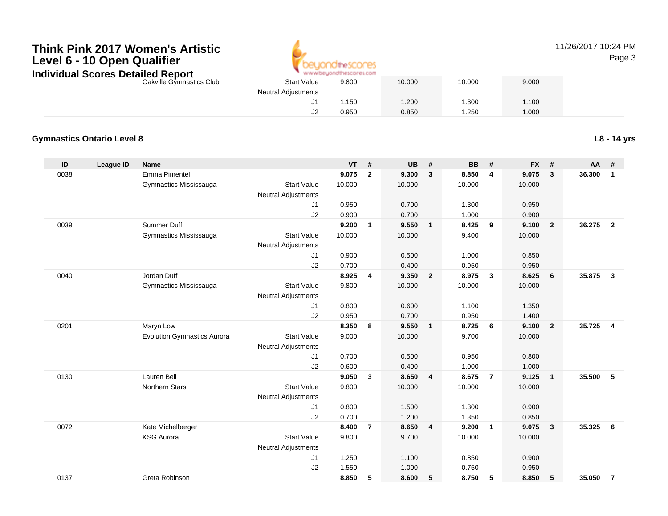

## 11/26/2017 10:24 PM

Page 3

| ισιαιισα ινσμοι ι        |                            |       |        |        |       |  |
|--------------------------|----------------------------|-------|--------|--------|-------|--|
| Oakville Gymnastics Club | <b>Start Value</b>         | 9.800 | 10.000 | 10.000 | 9.000 |  |
|                          | <b>Neutral Adjustments</b> |       |        |        |       |  |
|                          |                            | 1.150 | .200   | 1.300  | 1.100 |  |
|                          | J2                         | 0.950 | 0.850  | .250   | 1.000 |  |
|                          |                            |       |        |        |       |  |

#### **Gymnastics Ontario Level 8**

**L8 - 14 yrs**

| ID   | League ID | <b>Name</b>                        |                            | <b>VT</b> | #              | <b>UB</b> | #                       | <b>BB</b> | #                       | <b>FX</b> | #                       | AA     | #              |
|------|-----------|------------------------------------|----------------------------|-----------|----------------|-----------|-------------------------|-----------|-------------------------|-----------|-------------------------|--------|----------------|
| 0038 |           | <b>Emma Pimentel</b>               |                            | 9.075     | $\mathbf{2}$   | 9.300     | $\mathbf{3}$            | 8.850     | $\overline{4}$          | 9.075     | 3                       | 36.300 | 1              |
|      |           | Gymnastics Mississauga             | <b>Start Value</b>         | 10.000    |                | 10.000    |                         | 10.000    |                         | 10.000    |                         |        |                |
|      |           |                                    | <b>Neutral Adjustments</b> |           |                |           |                         |           |                         |           |                         |        |                |
|      |           |                                    | J1                         | 0.950     |                | 0.700     |                         | 1.300     |                         | 0.950     |                         |        |                |
|      |           |                                    | J2                         | 0.900     |                | 0.700     |                         | 1.000     |                         | 0.900     |                         |        |                |
| 0039 |           | <b>Summer Duff</b>                 |                            | 9.200     | $\mathbf{1}$   | 9.550     | $\overline{1}$          | 8.425     | 9                       | 9.100     | $\overline{2}$          | 36.275 | $\overline{2}$ |
|      |           | Gymnastics Mississauga             | <b>Start Value</b>         | 10.000    |                | 10.000    |                         | 9.400     |                         | 10.000    |                         |        |                |
|      |           |                                    | Neutral Adjustments        |           |                |           |                         |           |                         |           |                         |        |                |
|      |           |                                    | J1                         | 0.900     |                | 0.500     |                         | 1.000     |                         | 0.850     |                         |        |                |
|      |           |                                    | J2                         | 0.700     |                | 0.400     |                         | 0.950     |                         | 0.950     |                         |        |                |
| 0040 |           | Jordan Duff                        |                            | 8.925     | 4              | 9.350     | $\overline{\mathbf{2}}$ | 8.975     | $\overline{\mathbf{3}}$ | 8.625     | 6                       | 35.875 | $\mathbf{3}$   |
|      |           | Gymnastics Mississauga             | <b>Start Value</b>         | 9.800     |                | 10.000    |                         | 10.000    |                         | 10.000    |                         |        |                |
|      |           |                                    | <b>Neutral Adjustments</b> |           |                |           |                         |           |                         |           |                         |        |                |
|      |           |                                    | J1                         | 0.800     |                | 0.600     |                         | 1.100     |                         | 1.350     |                         |        |                |
|      |           |                                    | J2                         | 0.950     |                | 0.700     |                         | 0.950     |                         | 1.400     |                         |        |                |
| 0201 |           | Maryn Low                          |                            | 8.350     | 8              | 9.550     | $\overline{1}$          | 8.725     | - 6                     | 9.100     | $\overline{2}$          | 35.725 | $\overline{4}$ |
|      |           | <b>Evolution Gymnastics Aurora</b> | <b>Start Value</b>         | 9.000     |                | 10.000    |                         | 9.700     |                         | 10.000    |                         |        |                |
|      |           |                                    | <b>Neutral Adjustments</b> |           |                |           |                         |           |                         |           |                         |        |                |
|      |           |                                    | J <sub>1</sub>             | 0.700     |                | 0.500     |                         | 0.950     |                         | 0.800     |                         |        |                |
|      |           |                                    | J2                         | 0.600     |                | 0.400     |                         | 1.000     |                         | 1.000     |                         |        |                |
| 0130 |           | Lauren Bell                        |                            | 9.050     | 3              | 8.650     | $\overline{\mathbf{4}}$ | 8.675     | $\overline{7}$          | 9.125     | $\mathbf{1}$            | 35.500 | 5              |
|      |           | <b>Northern Stars</b>              | <b>Start Value</b>         | 9.800     |                | 10.000    |                         | 10.000    |                         | 10.000    |                         |        |                |
|      |           |                                    | <b>Neutral Adjustments</b> |           |                |           |                         |           |                         |           |                         |        |                |
|      |           |                                    | J1                         | 0.800     |                | 1.500     |                         | 1.300     |                         | 0.900     |                         |        |                |
|      |           |                                    | J2                         | 0.700     |                | 1.200     |                         | 1.350     |                         | 0.850     |                         |        |                |
| 0072 |           | Kate Michelberger                  |                            | 8.400     | $\overline{7}$ | 8.650     | $\overline{4}$          | 9.200     | $\overline{1}$          | 9.075     | $\overline{\mathbf{3}}$ | 35.325 | 6              |
|      |           | <b>KSG Aurora</b>                  | <b>Start Value</b>         | 9.800     |                | 9.700     |                         | 10.000    |                         | 10.000    |                         |        |                |
|      |           |                                    | <b>Neutral Adjustments</b> |           |                |           |                         |           |                         |           |                         |        |                |
|      |           |                                    | J1                         | 1.250     |                | 1.100     |                         | 0.850     |                         | 0.900     |                         |        |                |
|      |           |                                    | J2                         | 1.550     |                | 1.000     |                         | 0.750     |                         | 0.950     |                         |        |                |
| 0137 |           | Greta Robinson                     |                            | 8.850     | 5              | 8.600     | 5                       | 8.750     | 5                       | 8.850     | 5                       | 35.050 | $\overline{7}$ |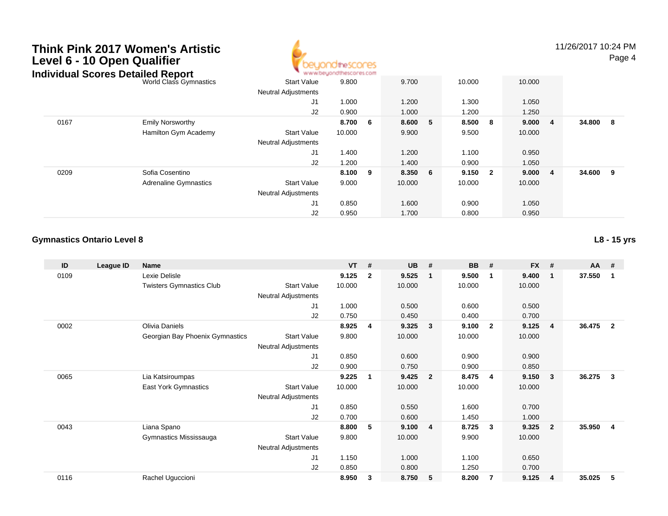## **Think Pink 2017 Women's ArtisticLevel 6 - 10 Open Qualifier**



11/26/2017 10:24 PMPage 4

World Class Gymnastics Start Valuee 9.800 9.700 10.000 10.000 Neutral Adjustments J1 1.000 1.200 1.300 1.050 J2 0.900 1.000 1.200 1.250 0167 Emily Norsworthy **8.700 <sup>6</sup> 8.600 <sup>5</sup> 8.500 <sup>8</sup> 9.000 <sup>4</sup> 34.800 <sup>8</sup>** Hamilton Gym Academy Start Valuee 10.000 9.900 9.500 10.000 Neutral Adjustments J1 1.400 1.200 1.100 0.950 J2 1.200 1.400 0.900 1.050 0209 Sofia Cosentino **8.100 <sup>9</sup> 8.350 <sup>6</sup> 9.150 <sup>2</sup> 9.000 <sup>4</sup> 34.600 <sup>9</sup>** Adrenaline Gymnastics Start Valuee 9.000 10.000 10.000 10.000 Neutral Adjustments J1 0.850 1.600 0.900 1.050 J2 0.950 1.700 0.800 0.950 **Individual Scores Detailed Report**

#### **Gymnastics Ontario Level 8**

**ID League ID Name VT # UB # BB # FX # AA #** 0109 Lexie Delisle **9.125 <sup>2</sup> 9.525 <sup>1</sup> 9.500 <sup>1</sup> 9.400 <sup>1</sup> 37.550 <sup>1</sup>** Twisters Gymnastics Clubb 3tart Value 10.000 10.000 10.000 10.000 10.000 Neutral Adjustments J1 1.000 0.500 0.600 0.500 J2 0.750 0.450 0.400 0.700 0002 Olivia Daniels **8.925 <sup>4</sup> 9.325 <sup>3</sup> 9.100 <sup>2</sup> 9.125 <sup>4</sup> 36.475 <sup>2</sup>** Georgian Bay Phoenix Gymnastics Start Valuee 9.800 10.000 10.000 10.000 Neutral Adjustments J1 0.850 0.600 0.900 0.900 J2 0.900 0.750 0.900 0.850 0065 Lia Katsiroumpas **9.225 <sup>1</sup> 9.425 <sup>2</sup> 8.475 <sup>4</sup> 9.150 <sup>3</sup> 36.275 <sup>3</sup>** East York Gymnastics Start Valuee 10.000 10.000 10.000 10.000 Neutral Adjustments J1 0.850 0.550 1.600 0.700 J2 0.700 0.600 1.450 1.000 0043 Liana Spano **8.800 <sup>5</sup> 9.100 <sup>4</sup> 8.725 <sup>3</sup> 9.325 <sup>2</sup> 35.950 <sup>4</sup>** Gymnastics Mississauga Start Value 9.800 10.000 9.900 10.000 Neutral Adjustments J1 1.150 1.000 1.100 0.650 J2 0.850 0.800 1.250 0.700 0116Rachel Uguccioni **8.950 <sup>3</sup> 8.750 <sup>5</sup> 8.200 <sup>7</sup> 9.125 <sup>4</sup> 35.025 <sup>5</sup>**

**L8 - 15 yrs**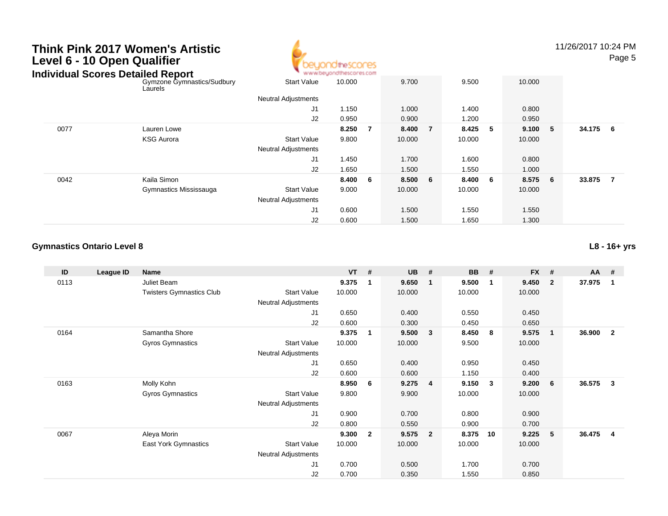### **Think Pink 2017 Women's ArtisticLevel 6 - 10 Open Qualifier**



11/26/2017 10:24 PMPage 5

| Individual Scores Detailed Report |                                       | www.beyondthescores.com    |         |    |         |   |         |   |        |     |        |                |
|-----------------------------------|---------------------------------------|----------------------------|---------|----|---------|---|---------|---|--------|-----|--------|----------------|
|                                   | Gymzone Gymnastics/Sudbury<br>Laurels | <b>Start Value</b>         | 10.000  |    | 9.700   |   | 9.500   |   | 10.000 |     |        |                |
|                                   |                                       | <b>Neutral Adjustments</b> |         |    |         |   |         |   |        |     |        |                |
|                                   |                                       | J1                         | 1.150   |    | 1.000   |   | 1.400   |   | 0.800  |     |        |                |
|                                   |                                       | J2                         | 0.950   |    | 0.900   |   | 1.200   |   | 0.950  |     |        |                |
| 0077                              | Lauren Lowe                           |                            | 8.250   | -7 | 8.400   | 7 | 8.425   | 5 | 9.100  | - 5 | 34.175 | - 6            |
|                                   | <b>KSG Aurora</b>                     | <b>Start Value</b>         | 9.800   |    | 10.000  |   | 10.000  |   | 10.000 |     |        |                |
|                                   |                                       | <b>Neutral Adjustments</b> |         |    |         |   |         |   |        |     |        |                |
|                                   |                                       | J <sub>1</sub>             | 1.450   |    | 1.700   |   | 1.600   |   | 0.800  |     |        |                |
|                                   |                                       | J2                         | 1.650   |    | 1.500   |   | 1.550   |   | 1.000  |     |        |                |
| 0042                              | Kaila Simon                           |                            | 8.400 6 |    | 8.500 6 |   | 8.400 6 |   | 8.575  | 6   | 33.875 | $\overline{7}$ |
|                                   | Gymnastics Mississauga                | <b>Start Value</b>         | 9.000   |    | 10.000  |   | 10.000  |   | 10.000 |     |        |                |
|                                   |                                       | <b>Neutral Adjustments</b> |         |    |         |   |         |   |        |     |        |                |
|                                   |                                       | J <sub>1</sub>             | 0.600   |    | 1.500   |   | 1.550   |   | 1.550  |     |        |                |
|                                   |                                       | J2                         | 0.600   |    | 1.500   |   | 1.650   |   | 1.300  |     |        |                |

#### **Gymnastics Ontario Level 8**

**ID League ID Name VT # UB # BB # FX # AA #** 0113 Juliet Beam **9.375 <sup>1</sup> 9.650 <sup>1</sup> 9.500 <sup>1</sup> 9.450 <sup>2</sup> 37.975 <sup>1</sup>** Twisters Gymnastics Clubb 3tart Value 10.000 10.000 10.000 10.000 10.000 Neutral Adjustments J1 0.650 0.400 0.550 0.450 J2 0.600 0.300 0.450 0.650 0164 Samantha Shore **9.375 <sup>1</sup> 9.500 <sup>3</sup> 8.450 <sup>8</sup> 9.575 <sup>1</sup> 36.900 <sup>2</sup>** Gyros Gymnastics Start Valuee 10.000 10.000 9.500 10.000 Neutral Adjustments J1 0.650 0.400 0.950 0.450 J2 0.600 0.600 1.150 0.400 0163 Molly Kohn **8.950 <sup>6</sup> 9.275 <sup>4</sup> 9.150 <sup>3</sup> 9.200 <sup>6</sup> 36.575 <sup>3</sup>** Gyros Gymnastics Start Valuee 9.800 9.900 10.000 10.000 Neutral Adjustments J1 0.900 0.700 0.800 0.900 J2 0.800 0.550 0.900 0.700 0067 Aleya Morin **9.300 <sup>2</sup> 9.575 <sup>2</sup> 8.375 <sup>10</sup> 9.225 <sup>5</sup> 36.475 <sup>4</sup>** East York Gymnastics Start Valuee 10.000 10.000 10.000 10.000 Neutral Adjustments J1 0.700 0.500 1.700 0.700 J20.700 0.350 1.550 0.850

**L8 - 16+ yrs**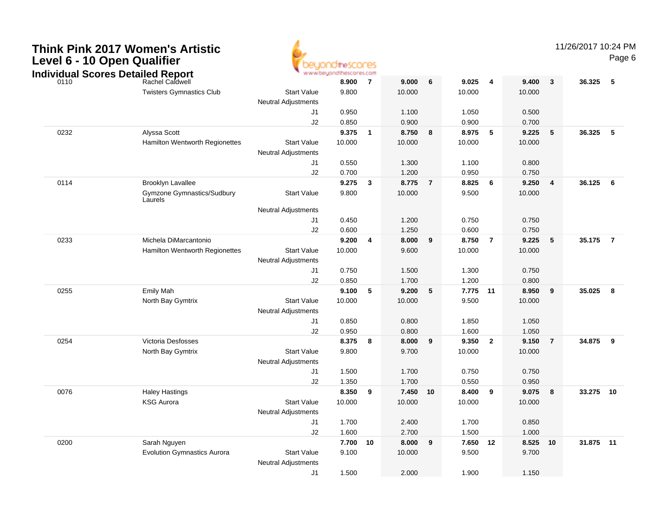

11/26/2017 10:24 PM

Page 6

|      |                                                              |                            | * www.beyondthescores.com |                         |        |                |          |                |        |                         |           |                |
|------|--------------------------------------------------------------|----------------------------|---------------------------|-------------------------|--------|----------------|----------|----------------|--------|-------------------------|-----------|----------------|
|      | I <b>ndividual Scores Detailed Report</b><br>Rachel Caldwell |                            | 8.900                     | - 7                     | 9.000  | 6              | 9.025    | $\overline{4}$ | 9.400  | $\overline{\mathbf{3}}$ | 36.325    | 5              |
|      | <b>Twisters Gymnastics Club</b>                              | <b>Start Value</b>         | 9.800                     |                         | 10.000 |                | 10.000   |                | 10.000 |                         |           |                |
|      |                                                              | <b>Neutral Adjustments</b> |                           |                         |        |                |          |                |        |                         |           |                |
|      |                                                              | J1                         | 0.950                     |                         | 1.100  |                | 1.050    |                | 0.500  |                         |           |                |
|      |                                                              | J2                         | 0.850                     |                         | 0.900  |                | 0.900    |                | 0.700  |                         |           |                |
| 0232 | Alyssa Scott                                                 |                            | 9.375                     | $\mathbf{1}$            | 8.750  | 8              | 8.975    | 5              | 9.225  | 5                       | 36.325    | 5              |
|      | Hamilton Wentworth Regionettes                               | <b>Start Value</b>         | 10.000                    |                         | 10.000 |                | 10.000   |                | 10.000 |                         |           |                |
|      |                                                              | <b>Neutral Adjustments</b> |                           |                         |        |                |          |                |        |                         |           |                |
|      |                                                              | J <sub>1</sub>             | 0.550                     |                         | 1.300  |                | 1.100    |                | 0.800  |                         |           |                |
|      |                                                              | J2                         | 0.700                     |                         | 1.200  |                | 0.950    |                | 0.750  |                         |           |                |
| 0114 | <b>Brooklyn Lavallee</b>                                     |                            | 9.275                     | $\mathbf{3}$            | 8.775  | $\overline{7}$ | 8.825    | 6              | 9.250  | $\overline{4}$          | 36.125 6  |                |
|      | Gymzone Gymnastics/Sudbury<br>Laurels                        | <b>Start Value</b>         | 9.800                     |                         | 10.000 |                | 9.500    |                | 10.000 |                         |           |                |
|      |                                                              | <b>Neutral Adjustments</b> |                           |                         |        |                |          |                |        |                         |           |                |
|      |                                                              | J1                         | 0.450                     |                         | 1.200  |                | 0.750    |                | 0.750  |                         |           |                |
|      |                                                              | J2                         | 0.600                     |                         | 1.250  |                | 0.600    |                | 0.750  |                         |           |                |
| 0233 | Michela DiMarcantonio                                        |                            | 9.200                     | $\overline{\mathbf{4}}$ | 8.000  | 9              | 8.750    | $\overline{7}$ | 9.225  | $-5$                    | 35.175    | $\overline{7}$ |
|      | Hamilton Wentworth Regionettes                               | <b>Start Value</b>         | 10.000                    |                         | 9.600  |                | 10.000   |                | 10.000 |                         |           |                |
|      |                                                              | <b>Neutral Adjustments</b> |                           |                         |        |                |          |                |        |                         |           |                |
|      |                                                              | J1                         | 0.750                     |                         | 1.500  |                | 1.300    |                | 0.750  |                         |           |                |
|      |                                                              | J2                         | 0.850                     |                         | 1.700  |                | 1.200    |                | 0.800  |                         |           |                |
| 0255 | <b>Emily Mah</b>                                             |                            | 9.100                     | -5                      | 9.200  | 5              | 7.775 11 |                | 8.950  | 9                       | 35.025    | 8              |
|      | North Bay Gymtrix                                            | <b>Start Value</b>         | 10.000                    |                         | 10.000 |                | 9.500    |                | 10.000 |                         |           |                |
|      |                                                              | <b>Neutral Adjustments</b> |                           |                         |        |                |          |                |        |                         |           |                |
|      |                                                              | J1                         | 0.850                     |                         | 0.800  |                | 1.850    |                | 1.050  |                         |           |                |
|      |                                                              | J2                         | 0.950                     |                         | 0.800  |                | 1.600    |                | 1.050  |                         |           |                |
| 0254 | Victoria Desfosses                                           |                            | 8.375                     | 8                       | 8.000  | 9              | 9.350    | $\overline{2}$ | 9.150  | $\overline{7}$          | 34.875    | 9              |
|      | North Bay Gymtrix                                            | <b>Start Value</b>         | 9.800                     |                         | 9.700  |                | 10.000   |                | 10.000 |                         |           |                |
|      |                                                              | <b>Neutral Adjustments</b> |                           |                         |        |                |          |                |        |                         |           |                |
|      |                                                              | J1                         | 1.500                     |                         | 1.700  |                | 0.750    |                | 0.750  |                         |           |                |
|      |                                                              | J2                         | 1.350                     |                         | 1.700  |                | 0.550    |                | 0.950  |                         |           |                |
| 0076 | <b>Haley Hastings</b>                                        |                            | 8.350                     | 9                       | 7.450  | 10             | 8.400    | 9              | 9.075  | $\overline{\mathbf{8}}$ | 33.275 10 |                |
|      | <b>KSG Aurora</b>                                            | <b>Start Value</b>         | 10.000                    |                         | 10.000 |                | 10.000   |                | 10.000 |                         |           |                |
|      |                                                              | <b>Neutral Adjustments</b> |                           |                         |        |                |          |                |        |                         |           |                |
|      |                                                              | J1                         | 1.700                     |                         | 2.400  |                | 1.700    |                | 0.850  |                         |           |                |
|      |                                                              | J2                         | 1.600                     |                         | 2.700  |                | 1.500    |                | 1.000  |                         |           |                |
| 0200 | Sarah Nguyen                                                 |                            | 7.700                     | 10                      | 8.000  | 9              | 7.650    | 12             | 8.525  | 10                      | 31.875 11 |                |
|      | <b>Evolution Gymnastics Aurora</b>                           | <b>Start Value</b>         | 9.100                     |                         | 10.000 |                | 9.500    |                | 9.700  |                         |           |                |
|      |                                                              | <b>Neutral Adjustments</b> |                           |                         |        |                |          |                |        |                         |           |                |
|      |                                                              | J1                         | 1.500                     |                         | 2.000  |                | 1.900    |                | 1.150  |                         |           |                |